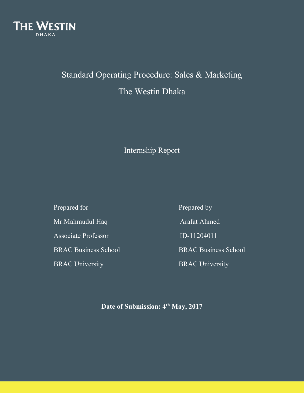

# Standard Operating Procedure: Sales & Marketing The Westin Dhaka

## Internship Report

Prepared for Prepared by Mr.Mahmudul Haq Arafat Ahmed Associate Professor **ID-11204011** BRAC University BRAC University

BRAC Business School BRAC Business School

**Date of Submission: 4 th May, 2017**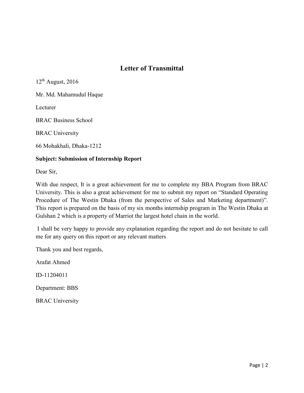### **Letter of Transmittal**

 $12<sup>th</sup>$  August, 2016

Mr. Md. Mahamudul Haque

Lecturer

BRAC Business School

BRAC University

66 Mohakhali, Dhaka-1212

#### **Subject: Submission of Internship Report**

Dear Sir,

With due respect, It is a great achievement for me to complete my BBA Program from BRAC University. This is also a great achievement for me to submit my report on "Standard Operating Procedure of The Westin Dhaka (from the perspective of Sales and Marketing department)". This report is prepared on the basis of my six months internship program in The Westin Dhaka at Gulshan 2 which is a property of Marriot the largest hotel chain in the world.

I shall be very happy to provide any explanation regarding the report and do not hesitate to call me for any query on this report or any relevant matters

Thank you and best regards,

Arafat Ahmed

ID-11204011

Department: BBS

BRAC University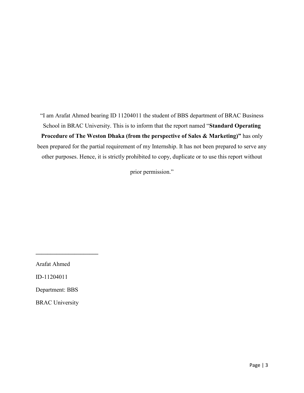"I am Arafat Ahmed bearing ID 11204011 the student of BBS department of BRAC Business School in BRAC University. This is to inform that the report named "**Standard Operating Procedure of The Weston Dhaka (from the perspective of Sales & Marketing)"** has only been prepared for the partial requirement of my Internship. It has not been prepared to serve any other purposes. Hence, it is strictly prohibited to copy, duplicate or to use this report without

prior permission."

Arafat Ahmed

**\_\_\_\_\_\_\_\_\_\_\_\_\_\_\_\_\_\_\_\_\_**

ID-11204011

Department: BBS

BRAC University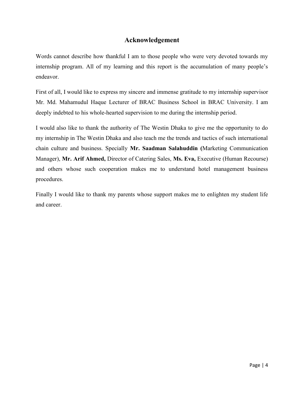### **Acknowledgement**

Words cannot describe how thankful I am to those people who were very devoted towards my internship program. All of my learning and this report is the accumulation of many people's endeavor.

First of all, I would like to express my sincere and immense gratitude to my internship supervisor Mr. Md. Mahamudul Haque Lecturer of BRAC Business School in BRAC University. I am deeply indebted to his whole-hearted supervision to me during the internship period.

I would also like to thank the authority of The Westin Dhaka to give me the opportunity to do my internship in The Westin Dhaka and also teach me the trends and tactics of such international chain culture and business. Specially **Mr. Saadman Salahuddin (**Marketing Communication Manager), **Mr. Arif Ahmed,** Director of Catering Sales, **Ms. Eva,** Executive (Human Recourse) and others whose such cooperation makes me to understand hotel management business procedures.

Finally I would like to thank my parents whose support makes me to enlighten my student life and career.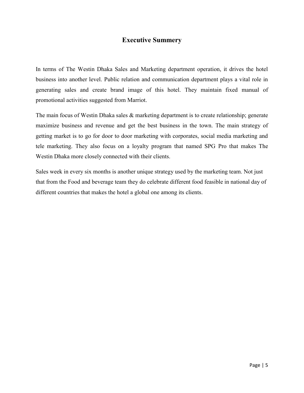### **Executive Summery**

In terms of The Westin Dhaka Sales and Marketing department operation, it drives the hotel business into another level. Public relation and communication department plays a vital role in generating sales and create brand image of this hotel. They maintain fixed manual of promotional activities suggested from Marriot.

The main focus of Westin Dhaka sales & marketing department is to create relationship; generate maximize business and revenue and get the best business in the town. The main strategy of getting market is to go for door to door marketing with corporates, social media marketing and tele marketing. They also focus on a loyalty program that named SPG Pro that makes The Westin Dhaka more closely connected with their clients.

Sales week in every six months is another unique strategy used by the marketing team. Not just that from the Food and beverage team they do celebrate different food feasible in national day of different countries that makes the hotel a global one among its clients.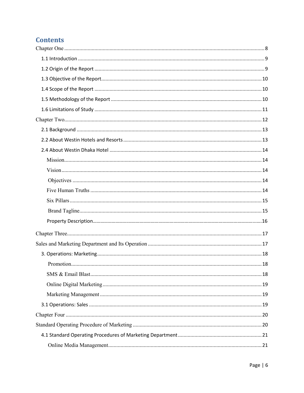### **Contents**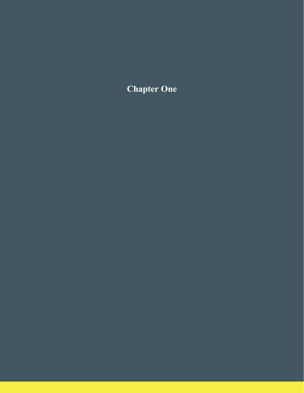<span id="page-7-0"></span>**Chapter One**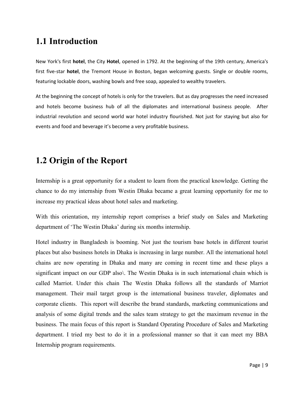## **1.1 Introduction**

New York's first **hotel**, the City **Hotel**, opened in 1792. At the beginning of the 19th century, America's first five-star **hotel**, the Tremont House in Boston, began welcoming guests. Single or double rooms, featuring lockable doors, washing bowls and free soap, appealed to wealthy travelers.

At the beginning the concept of hotels is only for the travelers. But as day progresses the need increased and hotels become business hub of all the diplomates and international business people. After industrial revolution and second world war hotel industry flourished. Not just for staying but also for events and food and beverage it's become a very profitable business.

## <span id="page-8-0"></span>**1.2 Origin of the Report**

Internship is a great opportunity for a student to learn from the practical knowledge. Getting the chance to do my internship from Westin Dhaka became a great learning opportunity for me to increase my practical ideas about hotel sales and marketing.

With this orientation, my internship report comprises a brief study on Sales and Marketing department of 'The Westin Dhaka' during six months internship.

Hotel industry in Bangladesh is booming. Not just the tourism base hotels in different tourist places but also business hotels in Dhaka is increasing in large number. All the international hotel chains are now operating in Dhaka and many are coming in recent time and these plays a significant impact on our GDP also\. The Westin Dhaka is in such international chain which is called Marriot. Under this chain The Westin Dhaka follows all the standards of Marriot management. Their mail target group is the international business traveler, diplomates and corporate clients. This report will describe the brand standards, marketing communications and analysis of some digital trends and the sales team strategy to get the maximum revenue in the business. The main focus of this report is Standard Operating Procedure of Sales and Marketing department. I tried my best to do it in a professional manner so that it can meet my BBA Internship program requirements.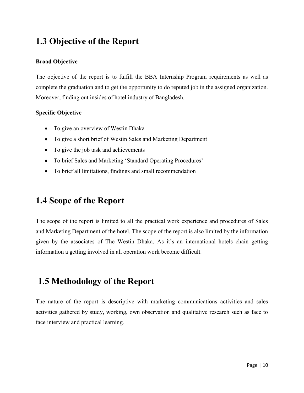## <span id="page-9-0"></span>**1.3 Objective of the Report**

#### **Broad Objective**

The objective of the report is to fulfill the BBA Internship Program requirements as well as complete the graduation and to get the opportunity to do reputed job in the assigned organization. Moreover, finding out insides of hotel industry of Bangladesh.

#### **Specific Objective**

- To give an overview of Westin Dhaka
- To give a short brief of Westin Sales and Marketing Department
- To give the job task and achievements
- To brief Sales and Marketing 'Standard Operating Procedures'
- To brief all limitations, findings and small recommendation

## <span id="page-9-1"></span>**1.4 Scope of the Report**

The scope of the report is limited to all the practical work experience and procedures of Sales and Marketing Department of the hotel. The scope of the report is also limited by the information given by the associates of The Westin Dhaka. As it's an international hotels chain getting information a getting involved in all operation work become difficult.

## <span id="page-9-2"></span>**1.5 Methodology of the Report**

The nature of the report is descriptive with marketing communications activities and sales activities gathered by study, working, own observation and qualitative research such as face to face interview and practical learning.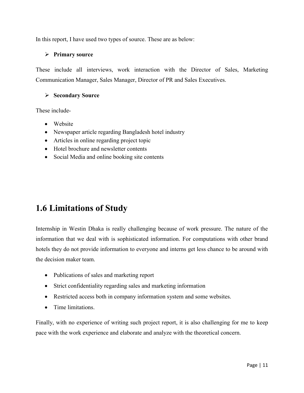In this report, I have used two types of source. These are as below:

#### ➢ **Primary source**

These include all interviews, work interaction with the Director of Sales, Marketing Communication Manager, Sales Manager, Director of PR and Sales Executives.

#### ➢ **Secondary Source**

These include-

- Website
- Newspaper article regarding Bangladesh hotel industry
- Articles in online regarding project topic
- Hotel brochure and newsletter contents
- Social Media and online booking site contents

## <span id="page-10-0"></span>**1.6 Limitations of Study**

Internship in Westin Dhaka is really challenging because of work pressure. The nature of the information that we deal with is sophisticated information. For computations with other brand hotels they do not provide information to everyone and interns get less chance to be around with the decision maker team.

- Publications of sales and marketing report
- Strict confidentiality regarding sales and marketing information
- Restricted access both in company information system and some websites.
- Time limitations.

Finally, with no experience of writing such project report, it is also challenging for me to keep pace with the work experience and elaborate and analyze with the theoretical concern.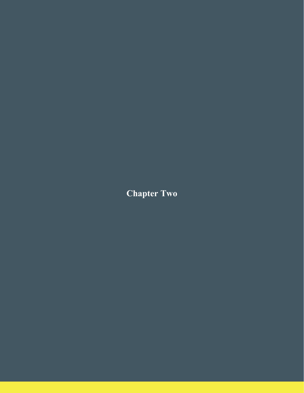<span id="page-11-1"></span><span id="page-11-0"></span>**Chapter Two**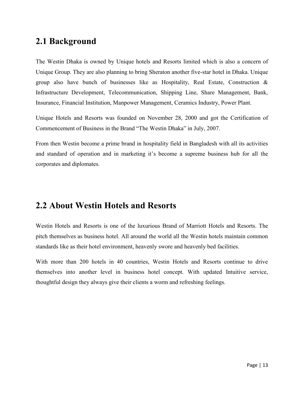### **2.1 Background**

The Westin Dhaka is owned by Unique hotels and Resorts limited which is also a concern of Unique Group. They are also planning to bring Sheraton another five-star hotel in Dhaka. Unique group also have bunch of businesses like as Hospitality, Real Estate, Construction  $\&$ Infrastructure Development, Telecommunication, Shipping Line, Share Management, Bank, Insurance, Financial Institution, Manpower Management, Ceramics Industry, Power Plant.

Unique Hotels and Resorts was founded on November 28, 2000 and got the Certification of Commencement of Business in the Brand "The Westin Dhaka" in July, 2007.

From then Westin become a prime brand in hospitality field in Bangladesh with all its activities and standard of operation and in marketing it's become a supreme business hub for all the corporates and diplomates.

## <span id="page-12-0"></span>**2.2 About Westin Hotels and Resorts**

Westin Hotels and Resorts is one of the luxurious Brand of Marriott Hotels and Resorts. The pitch themselves as business hotel. All around the world all the Westin hotels maintain common standards like as their hotel environment, heavenly swore and heavenly bed facilities.

With more than 200 hotels in 40 countries, Westin Hotels and Resorts continue to drive themselves into another level in business hotel concept. With updated Intuitive service, thoughtful design they always give their clients a worm and refreshing feelings.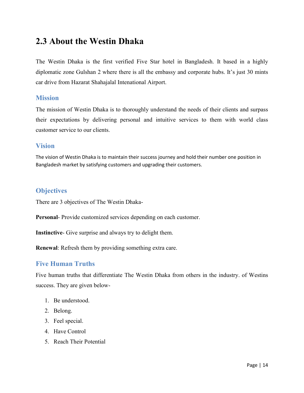## **2.3 About the Westin Dhaka**

The Westin Dhaka is the first verified Five Star hotel in Bangladesh. It based in a highly diplomatic zone Gulshan 2 where there is all the embassy and corporate hubs. It's just 30 mints car drive from Hazarat Shahajalal Intenational Airport.

#### <span id="page-13-0"></span>**Mission**

The mission of Westin Dhaka is to thoroughly understand the needs of their clients and surpass their expectations by delivering personal and intuitive services to them with world class customer service to our clients.

### <span id="page-13-2"></span><span id="page-13-1"></span>**Vision**

The vision of Westin Dhaka is to maintain their success journey and hold their number one position in Bangladesh market by satisfying customers and upgrading their customers.

### **Objectives**

There are 3 objectives of The Westin Dhaka-

**Personal**- Provide customized services depending on each customer.

**Instinctive**- Give surprise and always try to delight them.

**Renewal**: Refresh them by providing something extra care.

### <span id="page-13-3"></span>**Five Human Truths**

Five human truths that differentiate The Westin Dhaka from others in the industry. of Westins success. They are given below-

- 1. Be understood.
- 2. Belong.
- 3. Feel special.
- 4. Have Control
- 5. Reach Their Potential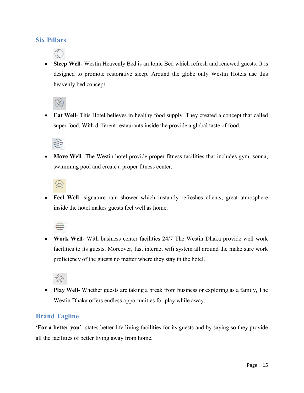### <span id="page-14-0"></span>**Six Pillars**

• **Sleep Well-** Westin Heavenly Bed is an Ionic Bed which refresh and renewed guests. It is designed to promote restorative sleep. Around the globe only Westin Hotels use this heavenly bed concept.



• **Eat Well-** This Hotel believes in healthy food supply. They created a concept that called super food. With different restaurants inside the provide a global taste of food.



• **Move Well**- The Westin hotel provide proper fitness facilities that includes gym, sonna, swimming pool and create a proper fitness center.



Feel Well- signature rain shower which instantly refreshes clients, great atmosphere inside the hotel makes guests feel well as home.



• **Work Well**- With business center facilities 24/7 The Westin Dhaka provide well work facilities to its guests. Moreover, fast internet wifi system all around the make sure work proficiency of the guests no matter where they stay in the hotel.



• **Play Well**- Whether guests are taking a break from business or exploring as a family, The Westin Dhaka offers endless opportunities for play while away.

### <span id="page-14-1"></span>**Brand Tagline**

**'For a better you'**- states better life living facilities for its guests and by saying so they provide all the facilities of better living away from home.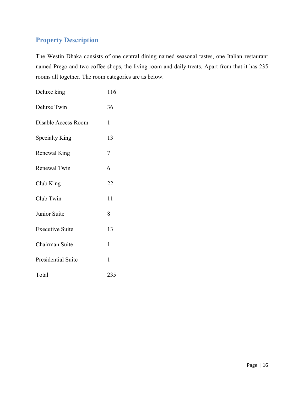### **Property Description**

The Westin Dhaka consists of one central dining named seasonal tastes, one Italian restaurant named Prego and two coffee shops, the living room and daily treats. Apart from that it has 235 rooms all together. The room categories are as below.

| Deluxe king            | 116 |
|------------------------|-----|
| Deluxe Twin            | 36  |
| Disable Access Room    | 1   |
| <b>Specialty King</b>  | 13  |
| Renewal King           | 7   |
| Renewal Twin           | 6   |
| Club King              | 22  |
| Club Twin              | 11  |
| Junior Suite           | 8   |
| <b>Executive Suite</b> | 13  |
| Chairman Suite         | 1   |
| Presidential Suite     | 1   |
| Total                  | 235 |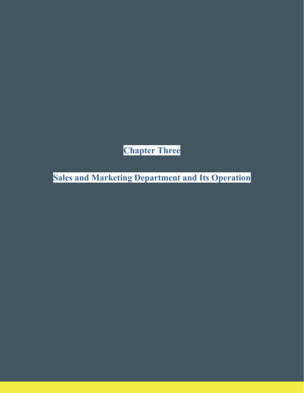**Chapter Three**

<span id="page-16-2"></span><span id="page-16-1"></span><span id="page-16-0"></span>**Sales and Marketing Department and Its Operation**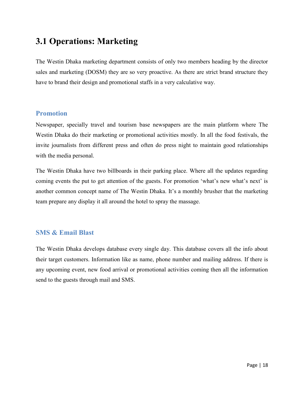## **3.1 Operations: Marketing**

The Westin Dhaka marketing department consists of only two members heading by the director sales and marketing (DOSM) they are so very proactive. As there are strict brand structure they have to brand their design and promotional staffs in a very calculative way.

### <span id="page-17-0"></span>**Promotion**

Newspaper, specially travel and tourism base newspapers are the main platform where The Westin Dhaka do their marketing or promotional activities mostly. In all the food festivals, the invite journalists from different press and often do press night to maintain good relationships with the media personal.

<span id="page-17-1"></span>The Westin Dhaka have two billboards in their parking place. Where all the updates regarding coming events the put to get attention of the guests. For promotion 'what's new what's next' is another common concept name of The Westin Dhaka. It's a monthly brusher that the marketing team prepare any display it all around the hotel to spray the massage.

### **SMS & Email Blast**

<span id="page-17-2"></span>The Westin Dhaka develops database every single day. This database covers all the info about their target customers. Information like as name, phone number and mailing address. If there is any upcoming event, new food arrival or promotional activities coming then all the information send to the guests through mail and SMS.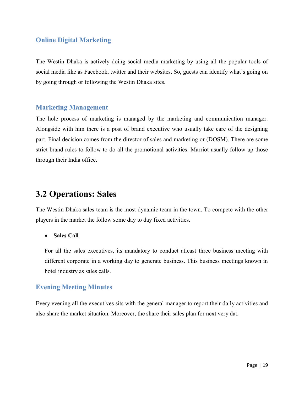### **Online Digital Marketing**

The Westin Dhaka is actively doing social media marketing by using all the popular tools of social media like as Facebook, twitter and their websites. So, guests can identify what's going on by going through or following the Westin Dhaka sites.

### <span id="page-18-0"></span>**Marketing Management**

The hole process of marketing is managed by the marketing and communication manager. Alongside with him there is a post of brand executive who usually take care of the designing part. Final decision comes from the director of sales and marketing or (DOSM). There are some strict brand rules to follow to do all the promotional activities. Marriot usually follow up those through their India office.

## <span id="page-18-1"></span>**3.2 Operations: Sales**

The Westin Dhaka sales team is the most dynamic team in the town. To compete with the other players in the market the follow some day to day fixed activities.

• **Sales Call**

For all the sales executives, its mandatory to conduct atleast three business meeting with different corporate in a working day to generate business. This business meetings known in hotel industry as sales calls.

### **Evening Meeting Minutes**

Every evening all the executives sits with the general manager to report their daily activities and also share the market situation. Moreover, the share their sales plan for next very dat.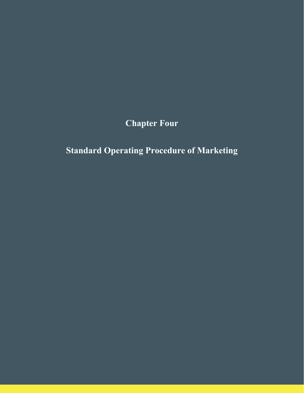**Chapter Four**

<span id="page-19-1"></span><span id="page-19-0"></span>**Standard Operating Procedure of Marketing**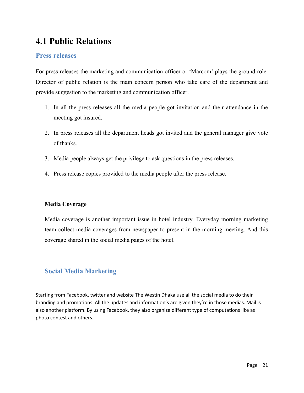## **4.1 Public Relations**

### **Press releases**

For press releases the marketing and communication officer or 'Marcom' plays the ground role. Director of public relation is the main concern person who take care of the department and provide suggestion to the marketing and communication officer.

- 1. In all the press releases all the media people got invitation and their attendance in the meeting got insured.
- 2. In press releases all the department heads got invited and the general manager give vote of thanks.
- 3. Media people always get the privilege to ask questions in the press releases.
- 4. Press release copies provided to the media people after the press release.

#### **Media Coverage**

Media coverage is another important issue in hotel industry. Everyday morning marketing team collect media coverages from newspaper to present in the morning meeting. And this coverage shared in the social media pages of the hotel.

### **Social Media Marketing**

Starting from Facebook, twitter and website The Westin Dhaka use all the social media to do their branding and promotions. All the updates and information's are given they're in those medias. Mail is also another platform. By using Facebook, they also organize different type of computations like as photo contest and others.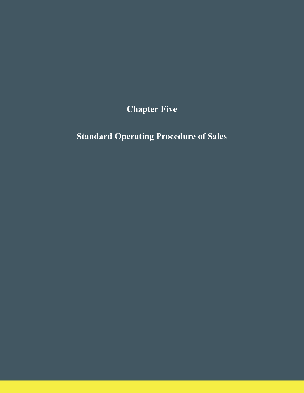**Chapter Five**

<span id="page-21-2"></span><span id="page-21-1"></span><span id="page-21-0"></span>**Standard Operating Procedure of Sales**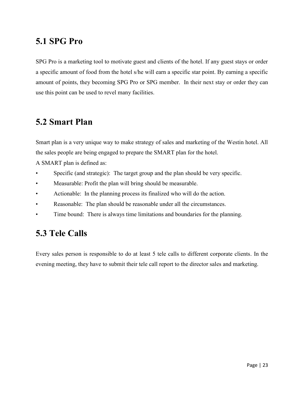## **5.1 SPG Pro**

SPG Pro is a marketing tool to motivate guest and clients of the hotel. If any guest stays or order a specific amount of food from the hotel s/he will earn a specific star point. By earning a specific amount of points, they becoming SPG Pro or SPG member. In their next stay or order they can use this point can be used to revel many facilities.

## **5.2 Smart Plan**

Smart plan is a very unique way to make strategy of sales and marketing of the Westin hotel. All the sales people are being engaged to prepare the SMART plan for the hotel.

A SMART plan is defined as:

- Specific (and strategic): The target group and the plan should be very specific.
- Measurable: Profit the plan will bring should be measurable.
- Actionable: In the planning process its finalized who will do the action.
- Reasonable: The plan should be reasonable under all the circumstances.
- Time bound: There is always time limitations and boundaries for the planning.

## <span id="page-22-0"></span>**5.3 Tele Calls**

Every sales person is responsible to do at least 5 tele calls to different corporate clients. In the evening meeting, they have to submit their tele call report to the director sales and marketing.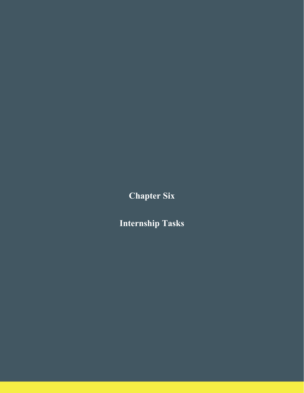**Chapter Six**

<span id="page-23-1"></span><span id="page-23-0"></span>**Internship Tasks**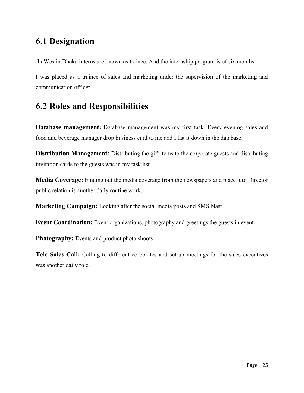## <span id="page-24-0"></span>**6.1 Designation**

In Westin Dhaka interns are known as trainee. And the internship program is of six months.

I was placed as a trainee of sales and marketing under the supervision of the marketing and communication officer.

## <span id="page-24-1"></span>**6.2 Roles and Responsibilities**

**Database management:** Database management was my first task. Every evening sales and food and beverage manager drop business card to me and I list it down in the database.

**Distribution Management:** Distributing the gift items to the corporate guests and distributing invitation cards to the guests was in my task list.

**Media Coverage:** Finding out the media coverage from the newspapers and place it to Director public relation is another daily routine work.

**Marketing Campaign:** Looking after the social media posts and SMS blast.

**Event Coordination:** Event organizations, photography and greetings the guests in event.

**Photography:** Events and product photo shoots.

**Tele Sales Call:** Calling to different corporates and set-up meetings for the sales executives was another daily role.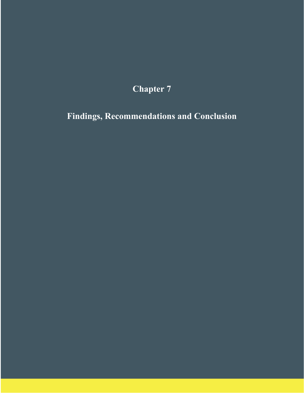# **Chapter 7**

<span id="page-25-2"></span><span id="page-25-1"></span><span id="page-25-0"></span>**Findings, Recommendations and Conclusion**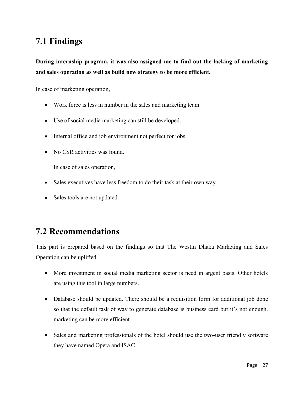## **7.1 Findings**

**During internship program, it was also assigned me to find out the lacking of marketing and sales operation as well as build new strategy to be more efficient.** 

In case of marketing operation,

- Work force is less in number in the sales and marketing team
- Use of social media marketing can still be developed.
- Internal office and job environment not perfect for jobs
- No CSR activities was found.

In case of sales operation,

- Sales executives have less freedom to do their task at their own way.
- Sales tools are not updated.

## <span id="page-26-0"></span>**7.2 Recommendations**

This part is prepared based on the findings so that The Westin Dhaka Marketing and Sales Operation can be uplifted.

- More investment in social media marketing sector is need in argent basis. Other hotels are using this tool in large numbers.
- Database should be updated. There should be a requisition form for additional job done so that the default task of way to generate database is business card but it's not enough. marketing can be more efficient.
- Sales and marketing professionals of the hotel should use the two-user friendly software they have named Opera and ISAC.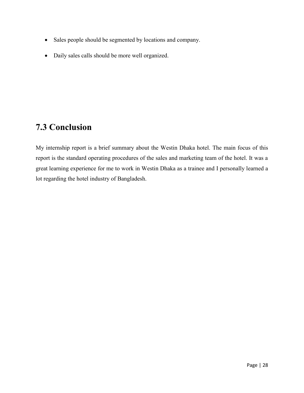- Sales people should be segmented by locations and company.
- Daily sales calls should be more well organized.

## <span id="page-27-0"></span>**7.3 Conclusion**

My internship report is a brief summary about the Westin Dhaka hotel. The main focus of this report is the standard operating procedures of the sales and marketing team of the hotel. It was a great learning experience for me to work in Westin Dhaka as a trainee and I personally learned a lot regarding the hotel industry of Bangladesh.